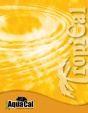